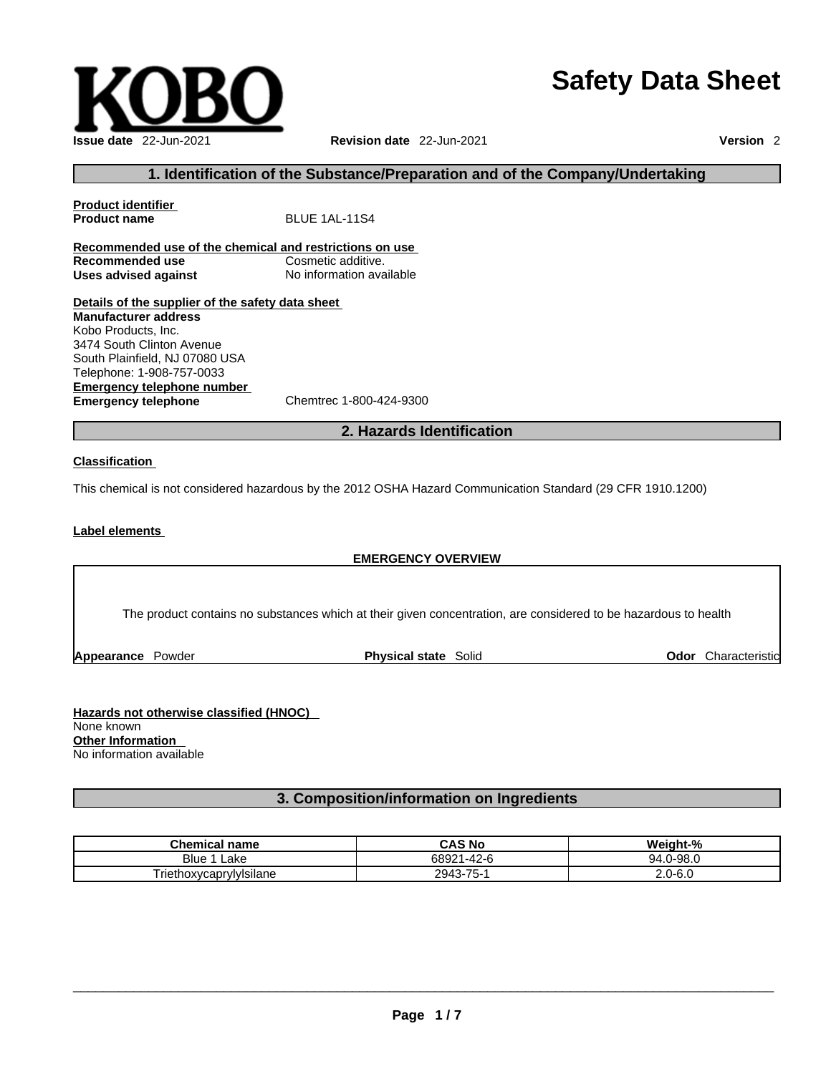# **Safety Data Sheet**



### **1. Identification of the Substance/Preparation and of the Company/Undertaking**

| <b>Product identifier</b>                                                                                                                                                                                                        |                          |
|----------------------------------------------------------------------------------------------------------------------------------------------------------------------------------------------------------------------------------|--------------------------|
| <b>Product name</b>                                                                                                                                                                                                              | BLUE 1AL-11S4            |
| Recommended use of the chemical and restrictions on use                                                                                                                                                                          |                          |
| Recommended use                                                                                                                                                                                                                  | Cosmetic additive.       |
| Uses advised against                                                                                                                                                                                                             | No information available |
| Details of the supplier of the safety data sheet<br><b>Manufacturer address</b><br>Kobo Products, Inc.<br>3474 South Clinton Avenue<br>South Plainfield. NJ 07080 USA<br>Telephone: 1-908-757-0033<br>Emergency telephone number |                          |
| <b>Emergency telephone</b>                                                                                                                                                                                                       | Chemtrec 1-800-424-9300  |

# **2. Hazards Identification**

#### **Classification**

This chemical is not considered hazardous by the 2012 OSHA Hazard Communication Standard (29 CFR 1910.1200)

#### **Label elements**

#### **EMERGENCY OVERVIEW**

The product contains no substances which at their given concentration, are considered to be hazardous to health

**Appearance Powder <b>Physical state** Solid

**Odor** Characteristic

**Hazards not otherwise classified (HNOC)**  None known **Other Information**  No information available

## **3. Composition/information on Ingredients**

| <b>Chemical name</b>    | <b>CAS No</b>         | Weight-%          |
|-------------------------|-----------------------|-------------------|
| Blue<br>∟ake            | $1 - 42 - 6$<br>68921 | $.0 - 98.0$<br>94 |
| Triethoxycaprylylsilane | 2943-75-1             | $2.0 - 6.0$       |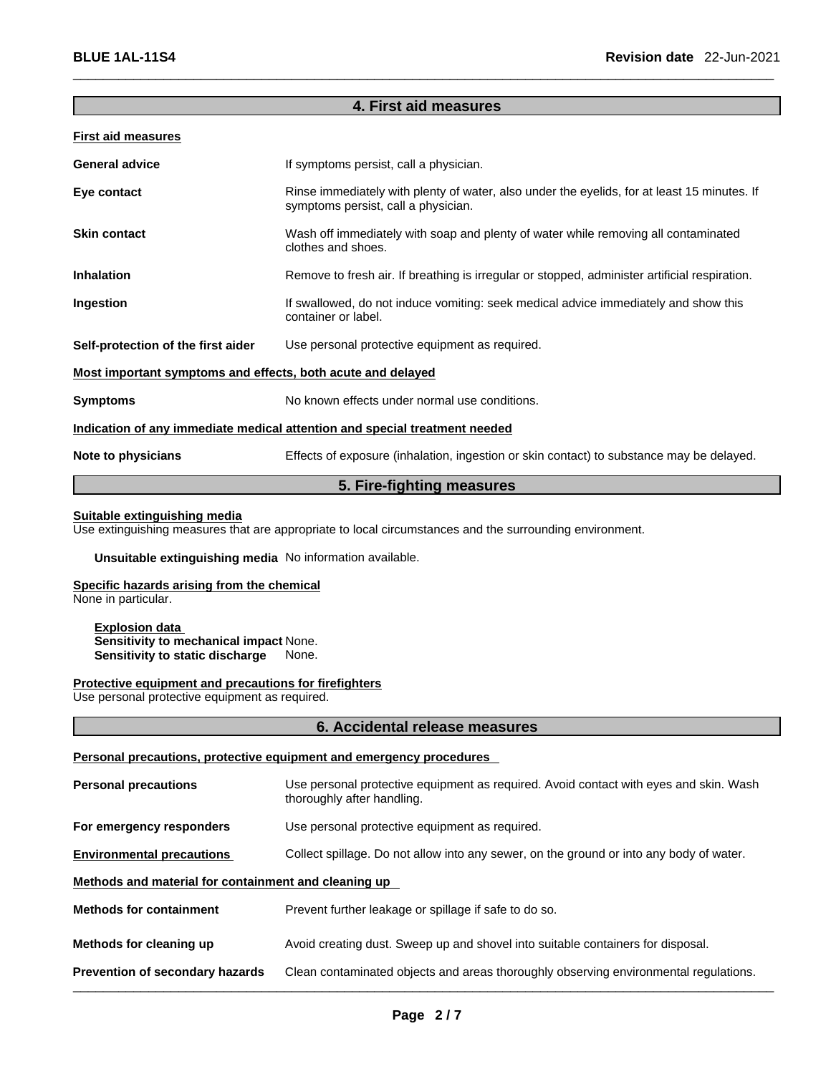## **4. First aid measures**

#### **First aid measures**

| <b>General advice</b>                                                      | If symptoms persist, call a physician.                                                                                             |  |
|----------------------------------------------------------------------------|------------------------------------------------------------------------------------------------------------------------------------|--|
| Eye contact                                                                | Rinse immediately with plenty of water, also under the eyelids, for at least 15 minutes. If<br>symptoms persist, call a physician. |  |
| <b>Skin contact</b>                                                        | Wash off immediately with soap and plenty of water while removing all contaminated<br>clothes and shoes.                           |  |
| <b>Inhalation</b>                                                          | Remove to fresh air. If breathing is irregular or stopped, administer artificial respiration.                                      |  |
| Ingestion                                                                  | If swallowed, do not induce vomiting: seek medical advice immediately and show this<br>container or label.                         |  |
| Self-protection of the first aider                                         | Use personal protective equipment as required.                                                                                     |  |
| Most important symptoms and effects, both acute and delayed                |                                                                                                                                    |  |
| <b>Symptoms</b>                                                            | No known effects under normal use conditions.                                                                                      |  |
| Indication of any immediate medical attention and special treatment needed |                                                                                                                                    |  |
| Note to physicians                                                         | Effects of exposure (inhalation, ingestion or skin contact) to substance may be delayed.                                           |  |
|                                                                            |                                                                                                                                    |  |

# **5. Fire-fighting measures**

#### **Suitable extinguishing media**

Use extinguishing measures that are appropriate to local circumstances and the surrounding environment.

#### **Unsuitable extinguishing media** No information available.

# **Specific hazards arising from the chemical**

None in particular.

**Explosion data Sensitivity to mechanical impact** None. **Sensitivity to static discharge** 

#### **Protective equipment and precautions for firefighters**

Use personal protective equipment as required.

#### **6. Accidental release measures**

# **Personal precautions, protective equipment and emergency procedures**

| <b>Personal precautions</b>                          | Use personal protective equipment as required. Avoid contact with eyes and skin. Wash<br>thoroughly after handling. |  |
|------------------------------------------------------|---------------------------------------------------------------------------------------------------------------------|--|
| For emergency responders                             | Use personal protective equipment as required.                                                                      |  |
| <b>Environmental precautions</b>                     | Collect spillage. Do not allow into any sewer, on the ground or into any body of water.                             |  |
| Methods and material for containment and cleaning up |                                                                                                                     |  |
| <b>Methods for containment</b>                       | Prevent further leakage or spillage if safe to do so.                                                               |  |
| Methods for cleaning up                              | Avoid creating dust. Sweep up and shovel into suitable containers for disposal.                                     |  |
| <b>Prevention of secondary hazards</b>               | Clean contaminated objects and areas thoroughly observing environmental regulations.                                |  |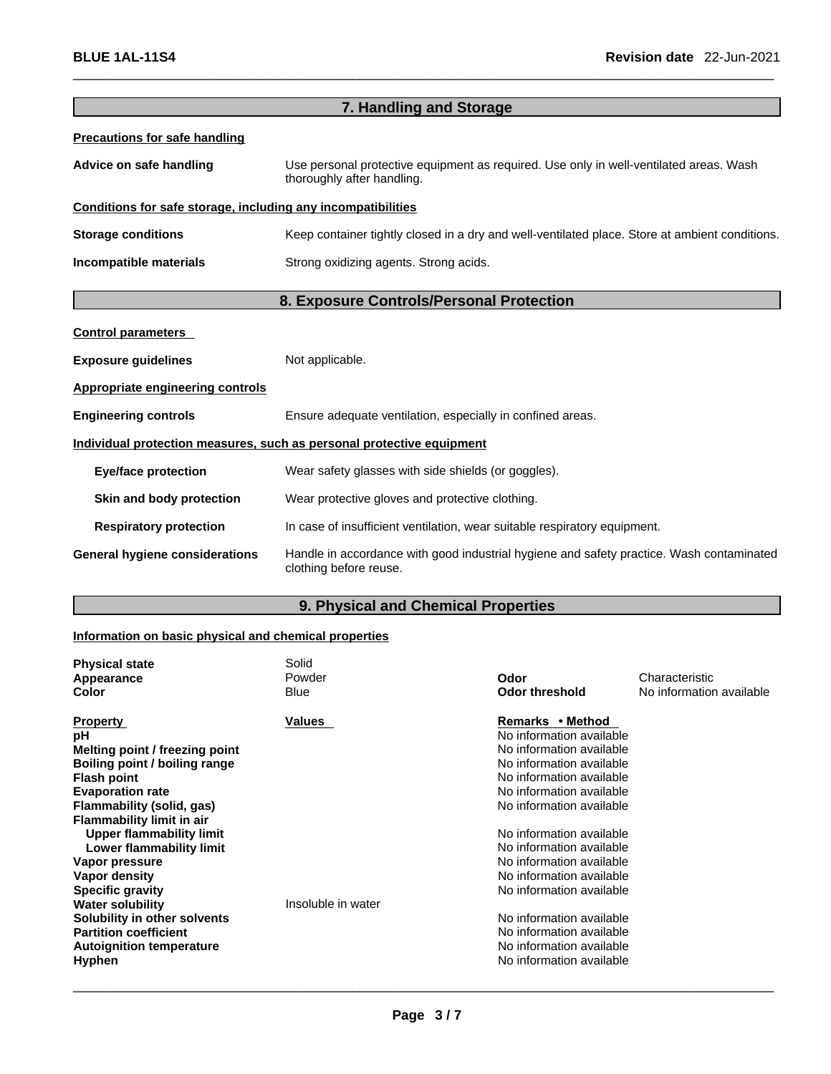|                                                              | 7. Handling and Storage                                                                                              |
|--------------------------------------------------------------|----------------------------------------------------------------------------------------------------------------------|
| <b>Precautions for safe handling</b>                         |                                                                                                                      |
| Advice on safe handling                                      | Use personal protective equipment as required. Use only in well-ventilated areas. Wash<br>thoroughly after handling. |
| Conditions for safe storage, including any incompatibilities |                                                                                                                      |
| <b>Storage conditions</b>                                    | Keep container tightly closed in a dry and well-ventilated place. Store at ambient conditions.                       |
| Incompatible materials                                       | Strong oxidizing agents. Strong acids.                                                                               |
|                                                              | 8. Exposure Controls/Personal Protection                                                                             |
| <b>Control parameters</b>                                    |                                                                                                                      |
| <b>Exposure guidelines</b>                                   | Not applicable.                                                                                                      |
| <b>Appropriate engineering controls</b>                      |                                                                                                                      |
| <b>Engineering controls</b>                                  | Ensure adequate ventilation, especially in confined areas.                                                           |
|                                                              | Individual protection measures, such as personal protective equipment                                                |
| <b>Eye/face protection</b>                                   | Wear safety glasses with side shields (or goggles).                                                                  |
| Skin and body protection                                     | Wear protective gloves and protective clothing.                                                                      |
| <b>Respiratory protection</b>                                | In case of insufficient ventilation, wear suitable respiratory equipment.                                            |
| <b>General hygiene considerations</b>                        | Handle in accordance with good industrial hygiene and safety practice. Wash contaminated<br>clothing before reuse.   |
|                                                              |                                                                                                                      |

# **9. Physical and Chemical Properties**

# **Information on basic physical and chemical properties**

| <b>Physical state</b>            | Solid              |                          |                          |
|----------------------------------|--------------------|--------------------------|--------------------------|
| Appearance                       | Powder             | Odor                     | Characteristic           |
| Color                            | <b>Blue</b>        | <b>Odor threshold</b>    | No information available |
| <b>Property</b>                  | Values             | Remarks • Method         |                          |
| рH                               |                    | No information available |                          |
| Melting point / freezing point   |                    | No information available |                          |
| Boiling point / boiling range    |                    | No information available |                          |
| <b>Flash point</b>               |                    | No information available |                          |
| <b>Evaporation rate</b>          |                    | No information available |                          |
| Flammability (solid, gas)        |                    | No information available |                          |
| <b>Flammability limit in air</b> |                    |                          |                          |
| <b>Upper flammability limit</b>  |                    | No information available |                          |
| Lower flammability limit         |                    | No information available |                          |
| Vapor pressure                   |                    | No information available |                          |
| Vapor density                    |                    | No information available |                          |
| <b>Specific gravity</b>          |                    | No information available |                          |
| <b>Water solubility</b>          | Insoluble in water |                          |                          |
| Solubility in other solvents     |                    | No information available |                          |
| <b>Partition coefficient</b>     |                    | No information available |                          |
| <b>Autoignition temperature</b>  |                    | No information available |                          |
| <b>Hyphen</b>                    |                    | No information available |                          |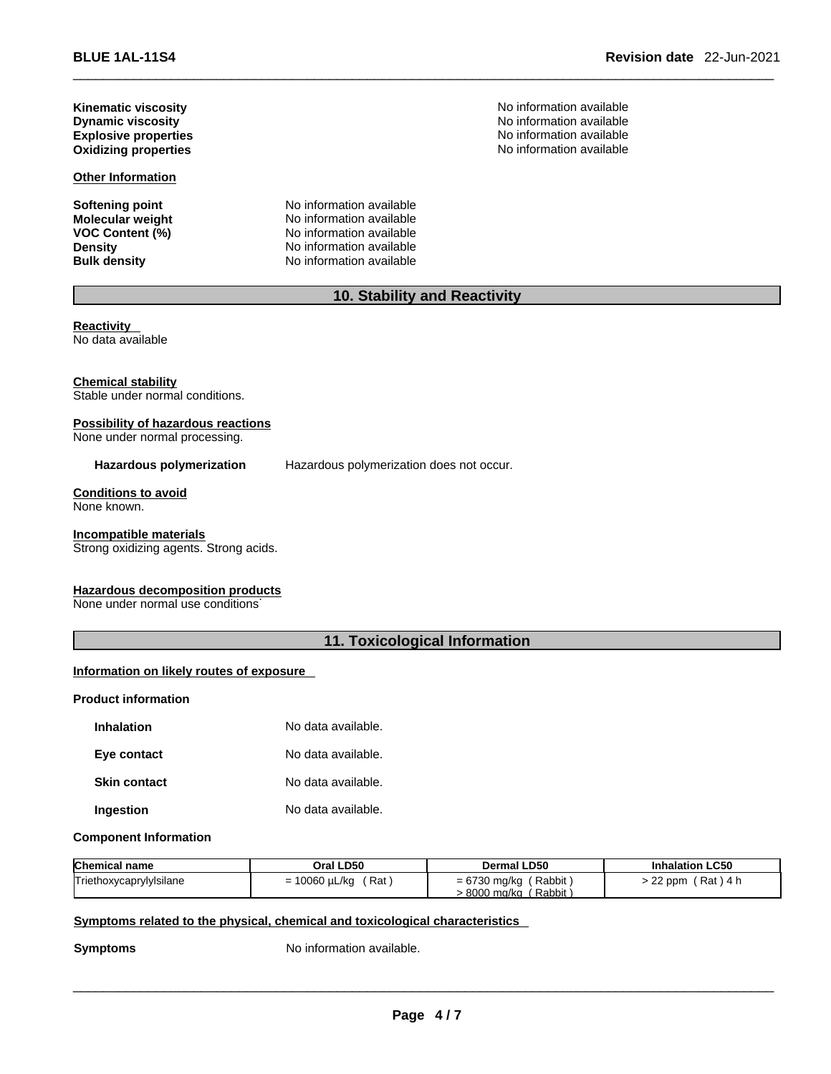\_\_\_\_\_\_\_\_\_\_\_\_\_\_\_\_\_\_\_\_\_\_\_\_\_\_\_\_\_\_\_\_\_\_\_\_\_\_\_\_\_\_\_\_\_\_\_\_\_\_\_\_\_\_\_\_\_\_\_\_\_\_\_\_\_\_\_\_\_\_\_\_\_\_\_\_\_\_\_\_\_\_\_\_\_\_\_\_\_\_\_\_\_ **BLUE 1AL-11S4 Revision date** 22-Jun-2021

**Kinematic viscosity No information available No** information available **Explosive properties** 

**Other Information**

**Softening point**<br> **Molecular weight**<br> **Molecular weight**<br> **Molecular weight**<br> **Molecular weight No information available VOC Content (%)** No information available **Density No information available Bulk density No information available** 

**Dynamic viscosity**<br> **Explosive properties**<br> **Explosive properties**<br> **Explosive properties Oxidizing properties by a straight of the straight of the straight of the SN of the SN of the SN of the SN of the SN of the SN of the SN of the SN of the SN of the SN of the SN of the SN of the SN of the SN of the SN of** 

# **10. Stability and Reactivity**

**Reactivity**  No data available

#### **Chemical stability**

Stable under normal conditions.

## **Possibility of hazardous reactions**

None under normal processing.

**Hazardous polymerization** Hazardous polymerization does not occur.

**Conditions to avoid** None known.

#### **Incompatible materials**

Strong oxidizing agents. Strong acids.

# **Hazardous decomposition products** .

None under normal use conditions

# **11. Toxicological Information**

# **Information on likely routes of exposure**

#### **Product information**

| <b>Inhalation</b>   | No data available. |
|---------------------|--------------------|
| Eye contact         | No data available. |
| <b>Skin contact</b> | No data available. |
| Ingestion           | No data available. |

#### **Component Information**

| <b>Chemical name</b>    | Oral LD50                       | <b>Dermal LD50</b>       | <b>Inhalation LC50</b> |
|-------------------------|---------------------------------|--------------------------|------------------------|
| Triethoxycaprylylsilane | 10060 µL/kg<br>ˈRat<br>-<br>- 1 | Rabbit<br>$= 6730$ mg/kg | > 22 ppm<br>(Rat)4 h   |
|                         |                                 | Rabbit<br>8000 ma/ka     |                        |

#### **Symptoms related to the physical, chemical and toxicological characteristics**

**Symptoms** No information available.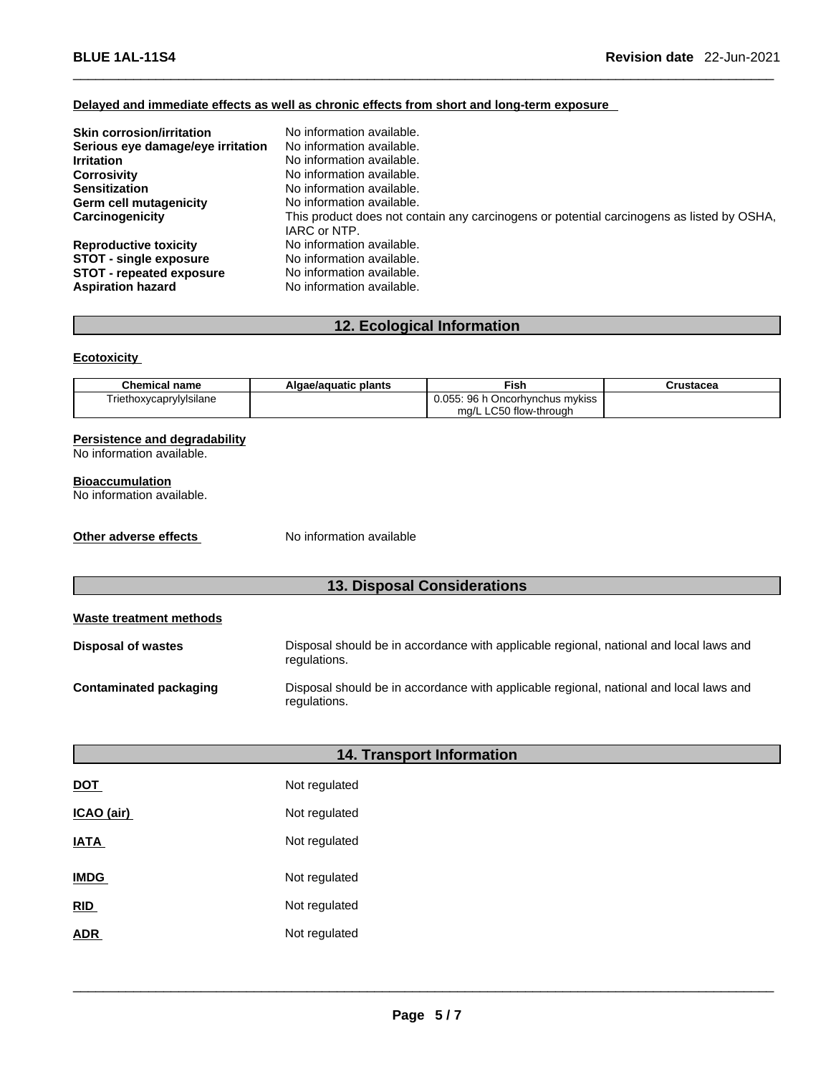# **Delayed and immediate effects as well as chronic effects from short and long-term exposure**

| <b>Skin corrosion/irritation</b>  | No information available.                                                                 |
|-----------------------------------|-------------------------------------------------------------------------------------------|
| Serious eye damage/eye irritation | No information available.                                                                 |
| <b>Irritation</b>                 | No information available.                                                                 |
| <b>Corrosivity</b>                | No information available.                                                                 |
| <b>Sensitization</b>              | No information available.                                                                 |
| Germ cell mutagenicity            | No information available.                                                                 |
| Carcinogenicity                   | This product does not contain any carcinogens or potential carcinogens as listed by OSHA, |
|                                   | IARC or NTP.                                                                              |
| <b>Reproductive toxicity</b>      | No information available.                                                                 |
| <b>STOT - single exposure</b>     | No information available.                                                                 |
| <b>STOT - repeated exposure</b>   | No information available.                                                                 |
| <b>Aspiration hazard</b>          | No information available.                                                                 |

# **12. Ecological Information**

#### **Ecotoxicity**

| <b>Chemical name</b>    | Algae/aguatic plants | Fish                            | Crustacea |
|-------------------------|----------------------|---------------------------------|-----------|
| Triethoxycaprylylsilane |                      | 0.055: 96 h Oncorhynchus mykiss |           |
|                         |                      | mg/L LC50 flow-through          |           |

#### **Persistence and degradability**

No information available.

#### **Bioaccumulation**

No information available.

**Other adverse effects** No information available

# **13. Disposal Considerations**

| Waste treatment methods |                                                                                                        |
|-------------------------|--------------------------------------------------------------------------------------------------------|
| Disposal of wastes      | Disposal should be in accordance with applicable regional, national and local laws and<br>regulations. |
| Contaminated packaging  | Disposal should be in accordance with applicable regional, national and local laws and<br>regulations. |

# **14. Transport Information**

| <b>DOT</b>  | Not regulated |
|-------------|---------------|
| ICAO (air)  | Not regulated |
| <b>IATA</b> | Not regulated |
| <b>IMDG</b> | Not regulated |
| <b>RID</b>  | Not regulated |
| <b>ADR</b>  | Not regulated |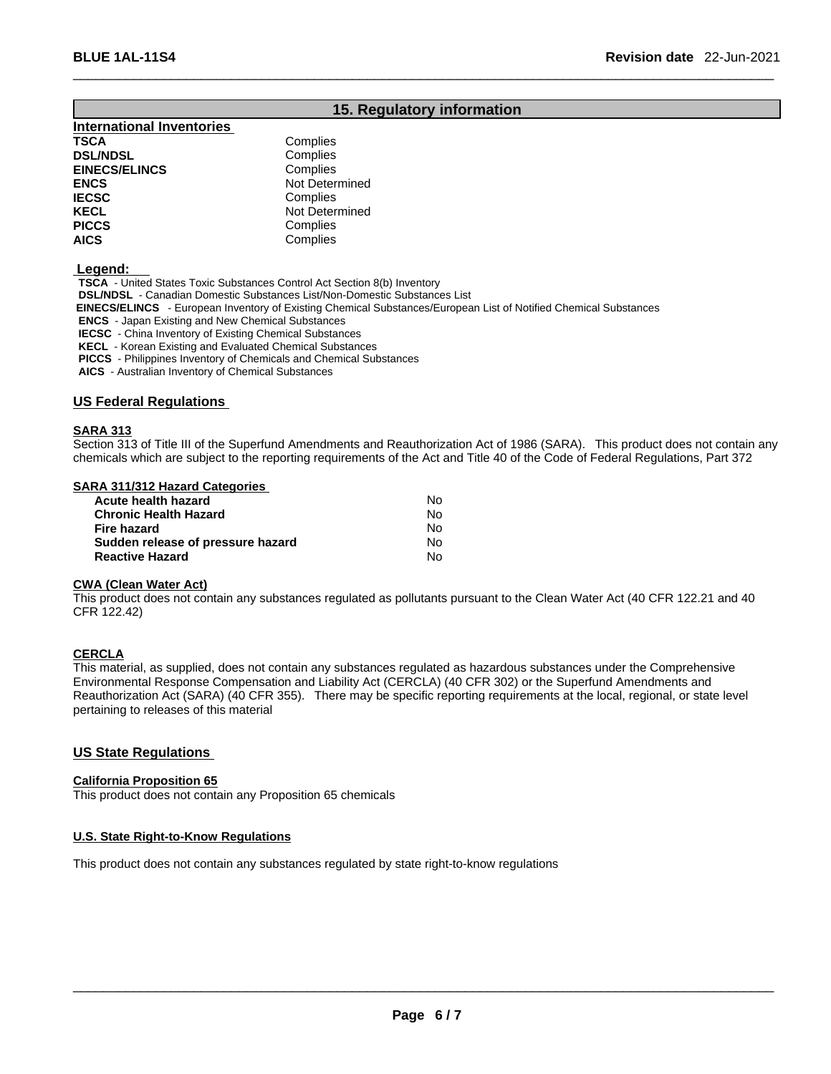# **15. Regulatory information**

| <b>International Inventories</b> |                |
|----------------------------------|----------------|
| <b>TSCA</b>                      | Complies       |
| <b>DSL/NDSL</b>                  | Complies       |
| <b>EINECS/ELINCS</b>             | Complies       |
| <b>ENCS</b>                      | Not Determined |
| <b>IECSC</b>                     | Complies       |
| <b>KECL</b>                      | Not Determined |
| <b>PICCS</b>                     | Complies       |
| <b>AICS</b>                      | Complies       |

#### **Legend:**

**TSCA** - United States Toxic Substances Control Act Section 8(b) Inventory

**DSL/NDSL** - Canadian Domestic Substances List/Non-Domestic Substances List

 **EINECS/ELINCS** - European Inventory of Existing Chemical Substances/European List of Notified Chemical Substances

**ENCS** - Japan Existing and New Chemical Substances

**IECSC** - China Inventory of Existing Chemical Substances

**KECL** - Korean Existing and Evaluated Chemical Substances

**PICCS** - Philippines Inventory of Chemicals and Chemical Substances

**AICS** - Australian Inventory of Chemical Substances

#### **US Federal Regulations**

#### **SARA 313**

Section 313 of Title III of the Superfund Amendments and Reauthorization Act of 1986 (SARA). This product does not contain any chemicals which are subject to the reporting requirements of the Act and Title 40 of the Code of Federal Regulations, Part 372

#### **SARA 311/312 Hazard Categories**

| Acute health hazard               | N٥ |
|-----------------------------------|----|
| <b>Chronic Health Hazard</b>      | No |
| Fire hazard                       | No |
| Sudden release of pressure hazard | N٥ |
| <b>Reactive Hazard</b>            | No |

#### **CWA (Clean WaterAct)**

This product does not contain any substances regulated as pollutants pursuant to the Clean Water Act (40 CFR 122.21 and 40 CFR 122.42)

#### **CERCLA**

This material, as supplied, does not contain any substances regulated as hazardous substances under the Comprehensive Environmental Response Compensation and Liability Act (CERCLA) (40 CFR 302) or the Superfund Amendments and Reauthorization Act (SARA) (40 CFR 355). There may be specific reporting requirements at the local, regional, or state level pertaining to releases of this material

# **US State Regulations**

#### **California Proposition 65**

This product does not contain any Proposition 65 chemicals

#### **U.S. State Right-to-Know Regulations**

This product does not contain any substances regulated by state right-to-know regulations